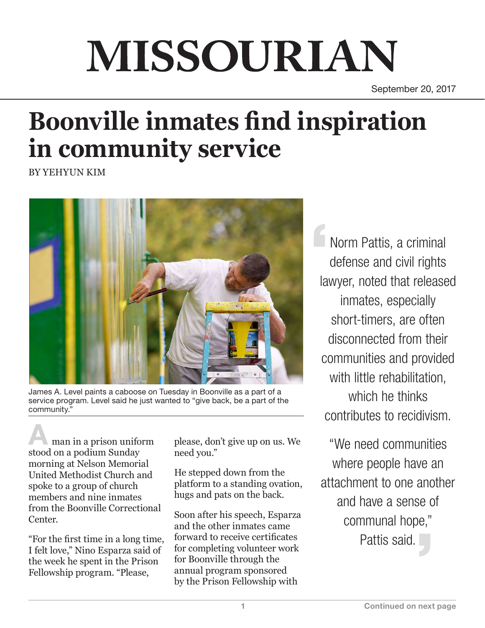# MISSOURIAN

September 20, 2017

## **Boonville inmates find inspiration in community service**

BY YEHYUN KIM



James A. Level paints a caboose on Tuesday in Boonville as a part of a service program. Level said he just wanted to "give back, be a part of the community."

man in a prison uniform stood on a podium Sunday morning at Nelson Memorial United Methodist Church and spoke to a group of church members and nine inmates from the Boonville Correctional Center.

"For the first time in a long time, I felt love," Nino Esparza said of the week he spent in the Prison Fellowship program. "Please,

please, don't give up on us. We need you."

He stepped down from the platform to a standing ovation, hugs and pats on the back.

Soon after his speech, Esparza and the other inmates came forward to receive certificates for completing volunteer work for Boonville through the annual program sponsored by the Prison Fellowship with

Norm Pattis, a criminal defense and civil rights lawyer, noted that released inmates, especially short-timers, are often disconnected from their communities and provided with little rehabilitation. which he thinks contributes to recidivism.

"We need communities where people have an attachment to one another and have a sense of communal hope," Pattis said.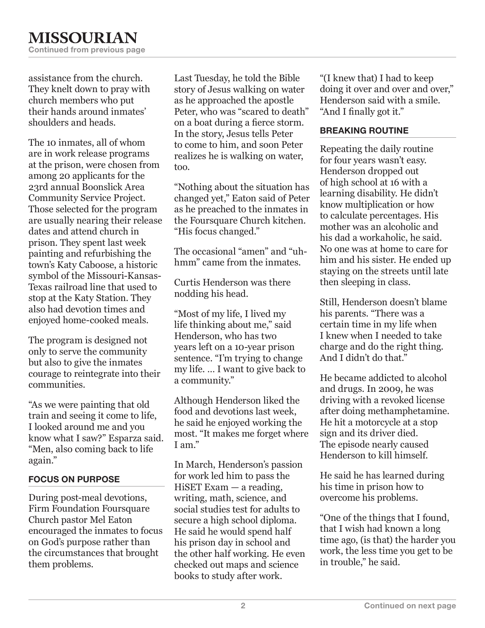assistance from the church. They knelt down to pray with church members who put their hands around inmates' shoulders and heads.

The 10 inmates, all of whom are in work release programs at the prison, were chosen from among 20 applicants for the 23rd annual Boonslick Area Community Service Project. Those selected for the program are usually nearing their release dates and attend church in prison. They spent last week painting and refurbishing the town's Katy Caboose, a historic symbol of the Missouri-Kansas-Texas railroad line that used to stop at the Katy Station. They also had devotion times and enjoyed home-cooked meals.

The program is designed not only to serve the community but also to give the inmates courage to reintegrate into their communities.

"As we were painting that old train and seeing it come to life, I looked around me and you know what I saw?" Esparza said. "Men, also coming back to life again."

#### FOCUS ON PURPOSE

During post-meal devotions, Firm Foundation Foursquare Church pastor Mel Eaton encouraged the inmates to focus on God's purpose rather than the circumstances that brought them problems.

Last Tuesday, he told the Bible story of Jesus walking on water as he approached the apostle Peter, who was "scared to death" on a boat during a fierce storm. In the story, Jesus tells Peter to come to him, and soon Peter realizes he is walking on water, too.

"Nothing about the situation has changed yet," Eaton said of Peter as he preached to the inmates in the Foursquare Church kitchen. "His focus changed."

The occasional "amen" and "uhhmm" came from the inmates.

Curtis Henderson was there nodding his head.

"Most of my life, I lived my life thinking about me," said Henderson, who has two years left on a 10-year prison sentence. "I'm trying to change my life. … I want to give back to a community."

Although Henderson liked the food and devotions last week, he said he enjoyed working the most. "It makes me forget where I am."

In March, Henderson's passion for work led him to pass the HiSET Exam — a reading, writing, math, science, and social studies test for adults to secure a high school diploma. He said he would spend half his prison day in school and the other half working. He even checked out maps and science books to study after work.

"(I knew that) I had to keep doing it over and over and over," Henderson said with a smile. "And I finally got it."

#### BREAKING ROUTINE

Repeating the daily routine for four years wasn't easy. Henderson dropped out of high school at 16 with a learning disability. He didn't know multiplication or how to calculate percentages. His mother was an alcoholic and his dad a workaholic, he said. No one was at home to care for him and his sister. He ended up staying on the streets until late then sleeping in class.

Still, Henderson doesn't blame his parents. "There was a certain time in my life when I knew when I needed to take charge and do the right thing. And I didn't do that."

He became addicted to alcohol and drugs. In 2009, he was driving with a revoked license after doing methamphetamine. He hit a motorcycle at a stop sign and its driver died. The episode nearly caused Henderson to kill himself.

He said he has learned during his time in prison how to overcome his problems.

"One of the things that I found, that I wish had known a long time ago, (is that) the harder you work, the less time you get to be in trouble," he said.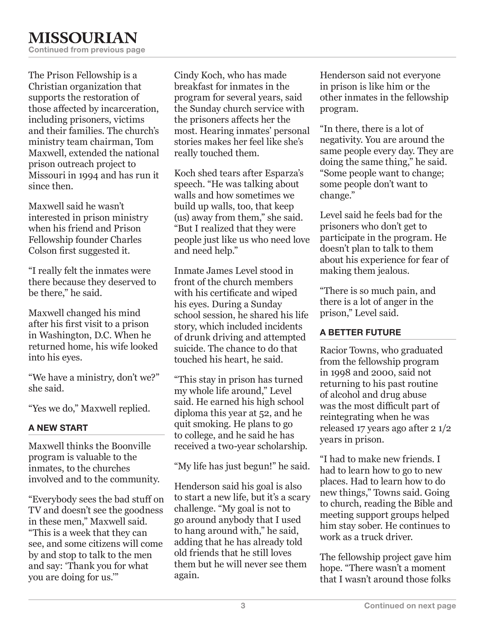The Prison Fellowship is a Christian organization that supports the restoration of those affected by incarceration, including prisoners, victims and their families. The church's ministry team chairman, Tom Maxwell, extended the national prison outreach project to Missouri in 1994 and has run it since then.

Maxwell said he wasn't interested in prison ministry when his friend and Prison Fellowship founder Charles Colson first suggested it.

"I really felt the inmates were there because they deserved to be there," he said.

Maxwell changed his mind after his first visit to a prison in Washington, D.C. When he returned home, his wife looked into his eyes.

"We have a ministry, don't we?" she said.

"Yes we do," Maxwell replied.

#### A NEW START

Maxwell thinks the Boonville program is valuable to the inmates, to the churches involved and to the community.

"Everybody sees the bad stuff on TV and doesn't see the goodness in these men," Maxwell said. "This is a week that they can see, and some citizens will come by and stop to talk to the men and say: 'Thank you for what you are doing for us.'"

Cindy Koch, who has made breakfast for inmates in the program for several years, said the Sunday church service with the prisoners affects her the most. Hearing inmates' personal stories makes her feel like she's really touched them.

Koch shed tears after Esparza's speech. "He was talking about walls and how sometimes we build up walls, too, that keep (us) away from them," she said. "But I realized that they were people just like us who need love and need help."

Inmate James Level stood in front of the church members with his certificate and wiped his eyes. During a Sunday school session, he shared his life story, which included incidents of drunk driving and attempted suicide. The chance to do that touched his heart, he said.

"This stay in prison has turned my whole life around," Level said. He earned his high school diploma this year at 52, and he quit smoking. He plans to go to college, and he said he has received a two-year scholarship.

"My life has just begun!" he said.

Henderson said his goal is also to start a new life, but it's a scary challenge. "My goal is not to go around anybody that I used to hang around with," he said, adding that he has already told old friends that he still loves them but he will never see them again.

Henderson said not everyone in prison is like him or the other inmates in the fellowship program.

"In there, there is a lot of negativity. You are around the same people every day. They are doing the same thing," he said. "Some people want to change; some people don't want to change."

Level said he feels bad for the prisoners who don't get to participate in the program. He doesn't plan to talk to them about his experience for fear of making them jealous.

"There is so much pain, and there is a lot of anger in the prison," Level said.

### A BETTER FUTURE

Racior Towns, who graduated from the fellowship program in 1998 and 2000, said not returning to his past routine of alcohol and drug abuse was the most difficult part of reintegrating when he was released 17 years ago after 2 1/2 years in prison.

"I had to make new friends. I had to learn how to go to new places. Had to learn how to do new things," Towns said. Going to church, reading the Bible and meeting support groups helped him stay sober. He continues to work as a truck driver.

The fellowship project gave him hope. "There wasn't a moment that I wasn't around those folks